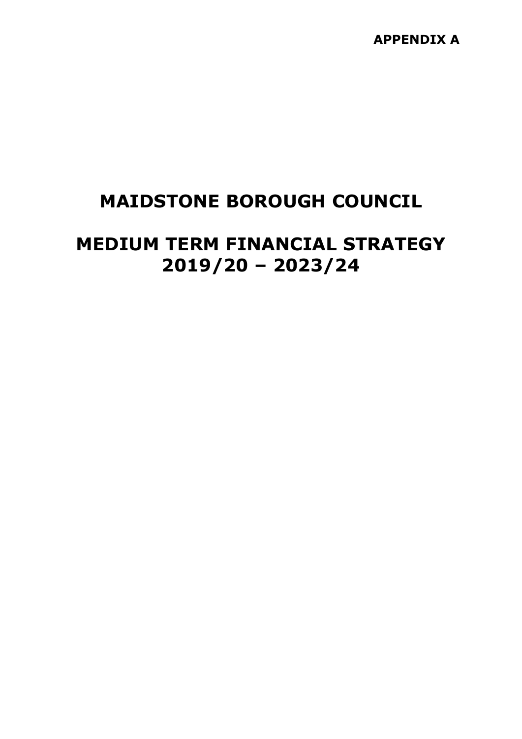**APPENDIX A**

# **MAIDSTONE BOROUGH COUNCIL**

# **MEDIUM TERM FINANCIAL STRATEGY 2019/20 – 2023/24**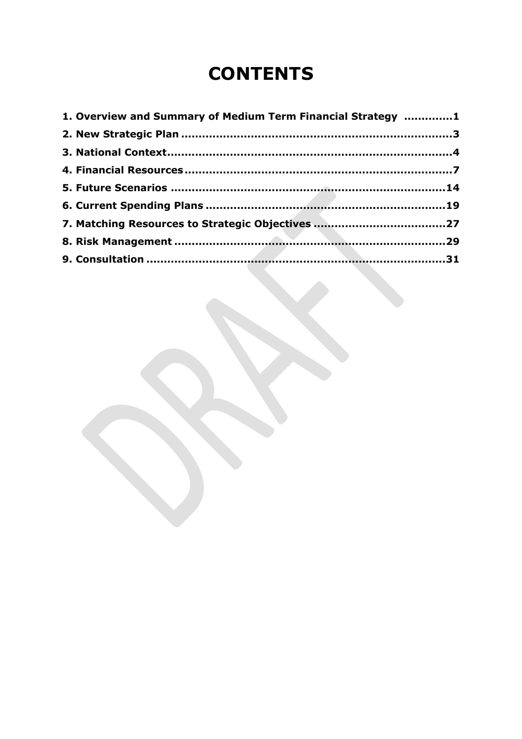# **CONTENTS**

| 1. Overview and Summary of Medium Term Financial Strategy 1 |  |
|-------------------------------------------------------------|--|
|                                                             |  |
|                                                             |  |
|                                                             |  |
|                                                             |  |
|                                                             |  |
|                                                             |  |
|                                                             |  |
|                                                             |  |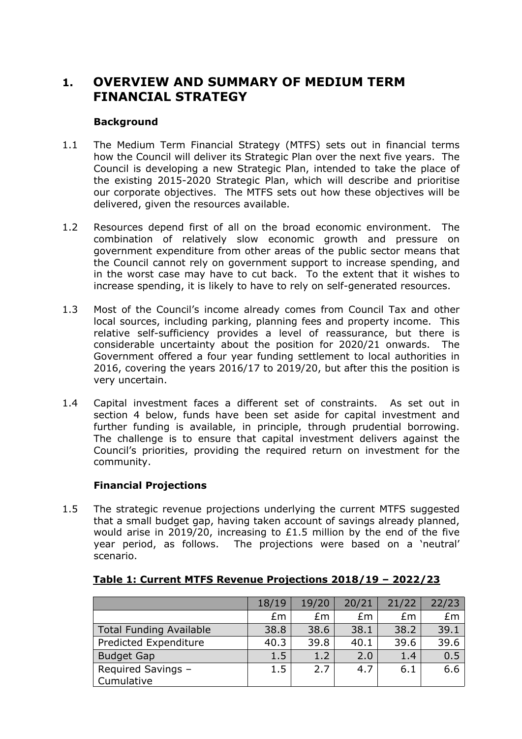# **1. OVERVIEW AND SUMMARY OF MEDIUM TERM FINANCIAL STRATEGY**

# **Background**

- 1.1 The Medium Term Financial Strategy (MTFS) sets out in financial terms how the Council will deliver its Strategic Plan over the next five years. The Council is developing a new Strategic Plan, intended to take the place of the existing 2015-2020 Strategic Plan, which will describe and prioritise our corporate objectives. The MTFS sets out how these objectives will be delivered, given the resources available.
- 1.2 Resources depend first of all on the broad economic environment. The combination of relatively slow economic growth and pressure on government expenditure from other areas of the public sector means that the Council cannot rely on government support to increase spending, and in the worst case may have to cut back. To the extent that it wishes to increase spending, it is likely to have to rely on self-generated resources.
- 1.3 Most of the Council's income already comes from Council Tax and other local sources, including parking, planning fees and property income. This relative self-sufficiency provides a level of reassurance, but there is considerable uncertainty about the position for 2020/21 onwards. The Government offered a four year funding settlement to local authorities in 2016, covering the years 2016/17 to 2019/20, but after this the position is very uncertain.
- 1.4 Capital investment faces a different set of constraints. As set out in section 4 below, funds have been set aside for capital investment and further funding is available, in principle, through prudential borrowing. The challenge is to ensure that capital investment delivers against the Council's priorities, providing the required return on investment for the community.

# **Financial Projections**

1.5 The strategic revenue projections underlying the current MTFS suggested that a small budget gap, having taken account of savings already planned, would arise in 2019/20, increasing to £1.5 million by the end of the five year period, as follows. The projections were based on a 'neutral' scenario.

|                                | 18/19 | 19/20 | 20/21 | 21/22 | 22/23 |
|--------------------------------|-------|-------|-------|-------|-------|
|                                | £m    | £m    | £m    | £m    | £m    |
| <b>Total Funding Available</b> | 38.8  | 38.6  | 38.1  | 38.2  | 39.1  |
| <b>Predicted Expenditure</b>   | 40.3  | 39.8  | 40.1  | 39.6  | 39.6  |
| <b>Budget Gap</b>              | 1.5   | 1.2   | 2.0   | 1.4   | 0.5   |
| Required Savings -             | 1.5   | 2.7   | 4.7   | 6.1   | 6.6   |
| Cumulative                     |       |       |       |       |       |

# **Table 1: Current MTFS Revenue Projections 2018/19 – 2022/23**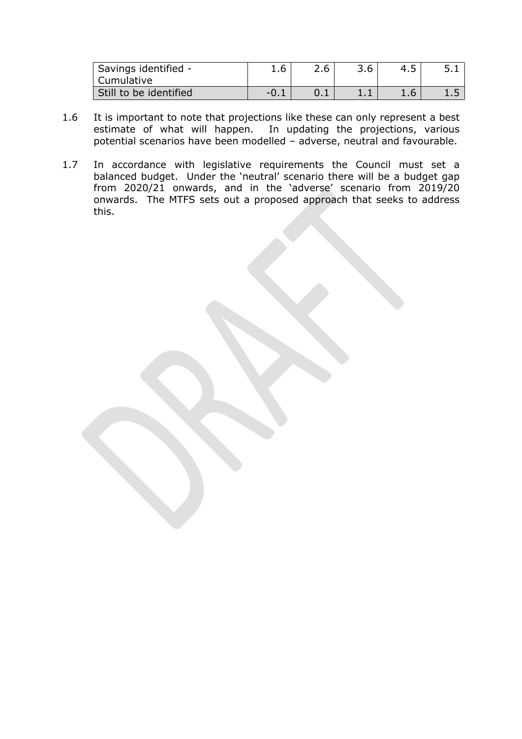| Savings identified -<br><sup>1</sup> Cumulative | 1.6    | 2.6 | 3.6 |  |
|-------------------------------------------------|--------|-----|-----|--|
| Still to be identified                          | $-0.1$ |     |     |  |

- 1.6 It is important to note that projections like these can only represent a best estimate of what will happen. In updating the projections, various potential scenarios have been modelled – adverse, neutral and favourable.
- 1.7 In accordance with legislative requirements the Council must set a balanced budget. Under the 'neutral' scenario there will be a budget gap from 2020/21 onwards, and in the 'adverse' scenario from 2019/20 onwards. The MTFS sets out a proposed approach that seeks to address this.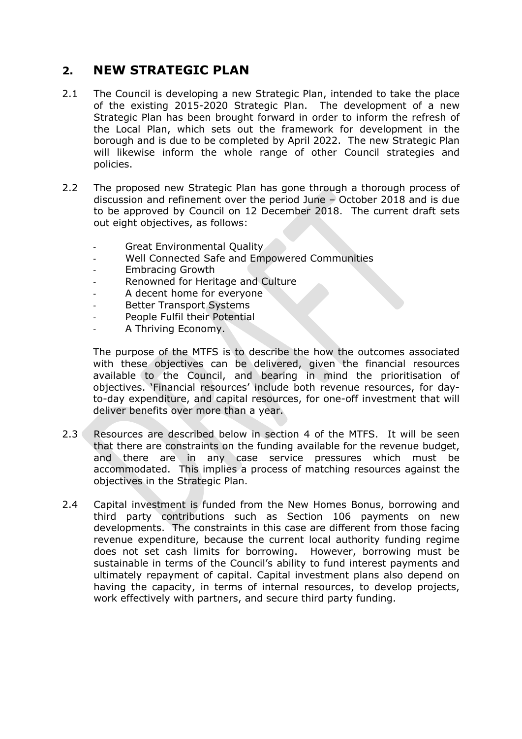# **2. NEW STRATEGIC PLAN**

- 2.1 The Council is developing a new Strategic Plan, intended to take the place of the existing 2015-2020 Strategic Plan. The development of a new Strategic Plan has been brought forward in order to inform the refresh of the Local Plan, which sets out the framework for development in the borough and is due to be completed by April 2022. The new Strategic Plan will likewise inform the whole range of other Council strategies and policies.
- 2.2 The proposed new Strategic Plan has gone through a thorough process of discussion and refinement over the period June – October 2018 and is due to be approved by Council on 12 December 2018. The current draft sets out eight objectives, as follows:
	- Great Environmental Quality
	- Well Connected Safe and Empowered Communities
	- Embracing Growth
	- Renowned for Heritage and Culture
	- A decent home for everyone
	- Better Transport Systems
	- People Fulfil their Potential
	- A Thriving Economy.

The purpose of the MTFS is to describe the how the outcomes associated with these objectives can be delivered, given the financial resources available to the Council, and bearing in mind the prioritisation of objectives. 'Financial resources' include both revenue resources, for dayto-day expenditure, and capital resources, for one-off investment that will deliver benefits over more than a year.

- 2.3 Resources are described below in section 4 of the MTFS. It will be seen that there are constraints on the funding available for the revenue budget, and there are in any case service pressures which must be accommodated. This implies a process of matching resources against the objectives in the Strategic Plan.
- 2.4 Capital investment is funded from the New Homes Bonus, borrowing and third party contributions such as Section 106 payments on new developments. The constraints in this case are different from those facing revenue expenditure, because the current local authority funding regime does not set cash limits for borrowing. However, borrowing must be sustainable in terms of the Council's ability to fund interest payments and ultimately repayment of capital. Capital investment plans also depend on having the capacity, in terms of internal resources, to develop projects, work effectively with partners, and secure third party funding.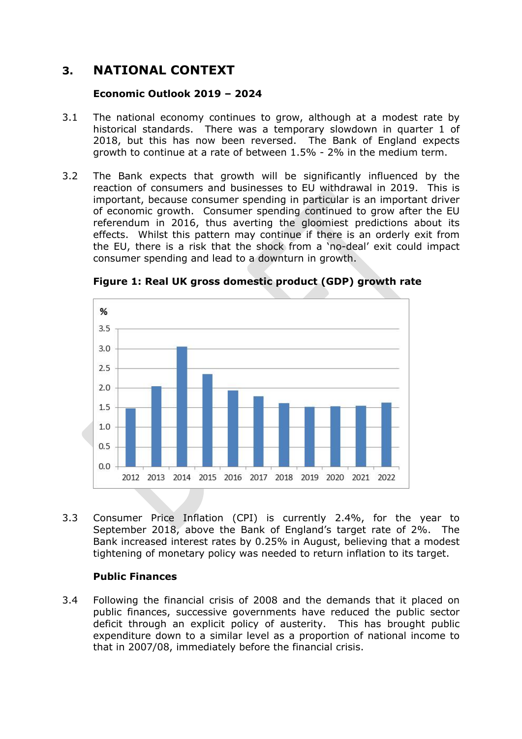# **3. NATIONAL CONTEXT**

#### **Economic Outlook 2019 – 2024**

- 3.1 The national economy continues to grow, although at a modest rate by historical standards. There was a temporary slowdown in quarter 1 of 2018, but this has now been reversed. The Bank of England expects growth to continue at a rate of between 1.5% - 2% in the medium term.
- 3.2 The Bank expects that growth will be significantly influenced by the reaction of consumers and businesses to EU withdrawal in 2019. This is important, because consumer spending in particular is an important driver of economic growth. Consumer spending continued to grow after the EU referendum in 2016, thus averting the gloomiest predictions about its effects. Whilst this pattern may continue if there is an orderly exit from the EU, there is a risk that the shock from a 'no-deal' exit could impact consumer spending and lead to a downturn in growth.



**Figure 1: Real UK gross domestic product (GDP) growth rate**

3.3 Consumer Price Inflation (CPI) is currently 2.4%, for the year to September 2018, above the Bank of England's target rate of 2%. The Bank increased interest rates by 0.25% in August, believing that a modest tightening of monetary policy was needed to return inflation to its target.

# **Public Finances**

3.4 Following the financial crisis of 2008 and the demands that it placed on public finances, successive governments have reduced the public sector deficit through an explicit policy of austerity. This has brought public expenditure down to a similar level as a proportion of national income to that in 2007/08, immediately before the financial crisis.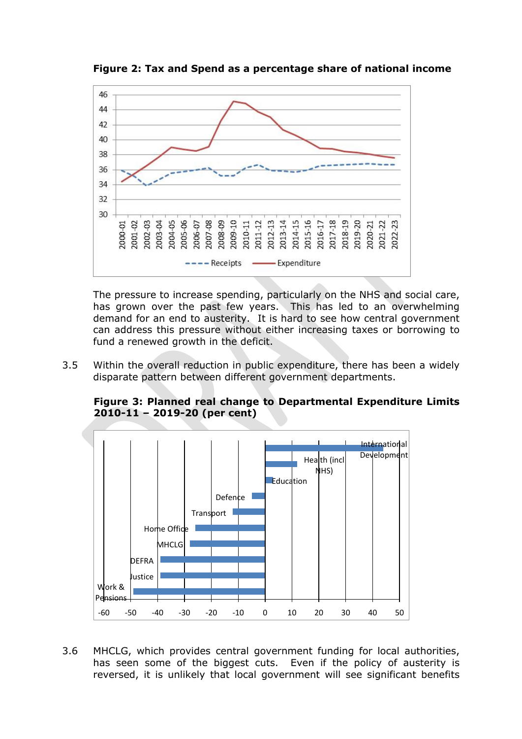

**Figure 2: Tax and Spend as a percentage share of national income**

The pressure to increase spending, particularly on the NHS and social care, has grown over the past few years. This has led to an overwhelming demand for an end to austerity. It is hard to see how central government can address this pressure without either increasing taxes or borrowing to fund a renewed growth in the deficit.

3.5 Within the overall reduction in public expenditure, there has been a widely disparate pattern between different government departments.

**Figure 3: Planned real change to Departmental Expenditure Limits 2010-11 – 2019-20 (per cent)**



3.6 MHCLG, which provides central government funding for local authorities, has seen some of the biggest cuts. Even if the policy of austerity is reversed, it is unlikely that local government will see significant benefits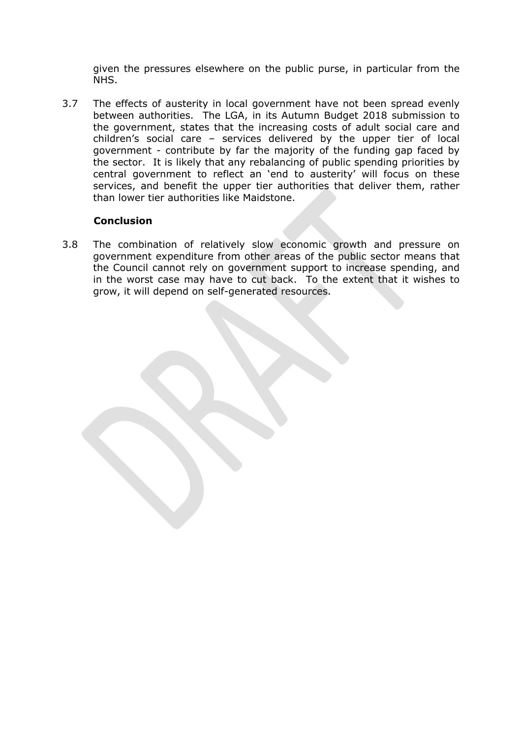given the pressures elsewhere on the public purse, in particular from the NHS.

3.7 The effects of austerity in local government have not been spread evenly between authorities. The LGA, in its Autumn Budget 2018 submission to the government, states that the increasing costs of adult social care and children's social care – services delivered by the upper tier of local government - contribute by far the majority of the funding gap faced by the sector. It is likely that any rebalancing of public spending priorities by central government to reflect an 'end to austerity' will focus on these services, and benefit the upper tier authorities that deliver them, rather than lower tier authorities like Maidstone.

#### **Conclusion**

3.8 The combination of relatively slow economic growth and pressure on government expenditure from other areas of the public sector means that the Council cannot rely on government support to increase spending, and in the worst case may have to cut back. To the extent that it wishes to grow, it will depend on self-generated resources.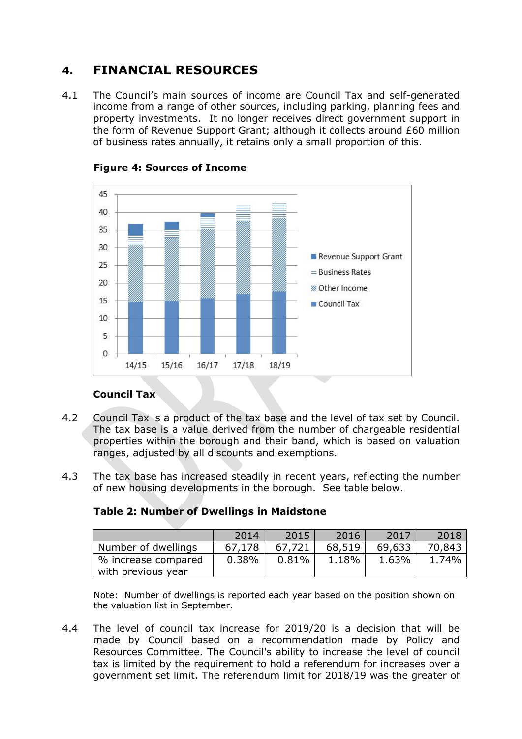# **4. FINANCIAL RESOURCES**

4.1 The Council's main sources of income are Council Tax and self-generated income from a range of other sources, including parking, planning fees and property investments. It no longer receives direct government support in the form of Revenue Support Grant; although it collects around £60 million of business rates annually, it retains only a small proportion of this.



# **Figure 4: Sources of Income**

# **Council Tax**

- 4.2 Council Tax is a product of the tax base and the level of tax set by Council. The tax base is a value derived from the number of chargeable residential properties within the borough and their band, which is based on valuation ranges, adjusted by all discounts and exemptions.
- 4.3 The tax base has increased steadily in recent years, reflecting the number of new housing developments in the borough. See table below.

|                     | 2014   | 2015     | 2016   | 2017   | 2018   |
|---------------------|--------|----------|--------|--------|--------|
| Number of dwellings | 67.178 | 67,721   | 68,519 | 69,633 | 70,843 |
| % increase compared | 0.38%  | $0.81\%$ | 1.18%  | 1.63%  | 1.74%  |
| with previous year  |        |          |        |        |        |

# **Table 2: Number of Dwellings in Maidstone**

Note: Number of dwellings is reported each year based on the position shown on the valuation list in September.

4.4 The level of council tax increase for 2019/20 is a decision that will be made by Council based on a recommendation made by Policy and Resources Committee. The Council's ability to increase the level of council tax is limited by the requirement to hold a referendum for increases over a government set limit. The referendum limit for 2018/19 was the greater of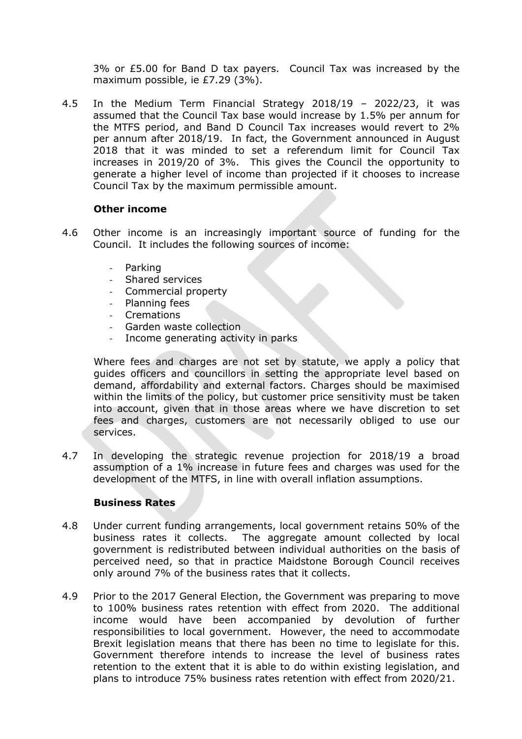3% or £5.00 for Band D tax payers. Council Tax was increased by the maximum possible, ie £7.29 (3%).

4.5 In the Medium Term Financial Strategy 2018/19 – 2022/23, it was assumed that the Council Tax base would increase by 1.5% per annum for the MTFS period, and Band D Council Tax increases would revert to 2% per annum after 2018/19. In fact, the Government announced in August 2018 that it was minded to set a referendum limit for Council Tax increases in 2019/20 of 3%. This gives the Council the opportunity to generate a higher level of income than projected if it chooses to increase Council Tax by the maximum permissible amount.

#### **Other income**

- 4.6 Other income is an increasingly important source of funding for the Council. It includes the following sources of income:
	- Parking
	- Shared services
	- Commercial property
	- Planning fees
	- **Cremations**
	- Garden waste collection
	- Income generating activity in parks

Where fees and charges are not set by statute, we apply a policy that guides officers and councillors in setting the appropriate level based on demand, affordability and external factors. Charges should be maximised within the limits of the policy, but customer price sensitivity must be taken into account, given that in those areas where we have discretion to set fees and charges, customers are not necessarily obliged to use our services.

4.7 In developing the strategic revenue projection for 2018/19 a broad assumption of a 1% increase in future fees and charges was used for the development of the MTFS, in line with overall inflation assumptions.

#### **Business Rates**

- 4.8 Under current funding arrangements, local government retains 50% of the business rates it collects. The aggregate amount collected by local government is redistributed between individual authorities on the basis of perceived need, so that in practice Maidstone Borough Council receives only around 7% of the business rates that it collects.
- 4.9 Prior to the 2017 General Election, the Government was preparing to move to 100% business rates retention with effect from 2020. The additional income would have been accompanied by devolution of further responsibilities to local government. However, the need to accommodate Brexit legislation means that there has been no time to legislate for this. Government therefore intends to increase the level of business rates retention to the extent that it is able to do within existing legislation, and plans to introduce 75% business rates retention with effect from 2020/21.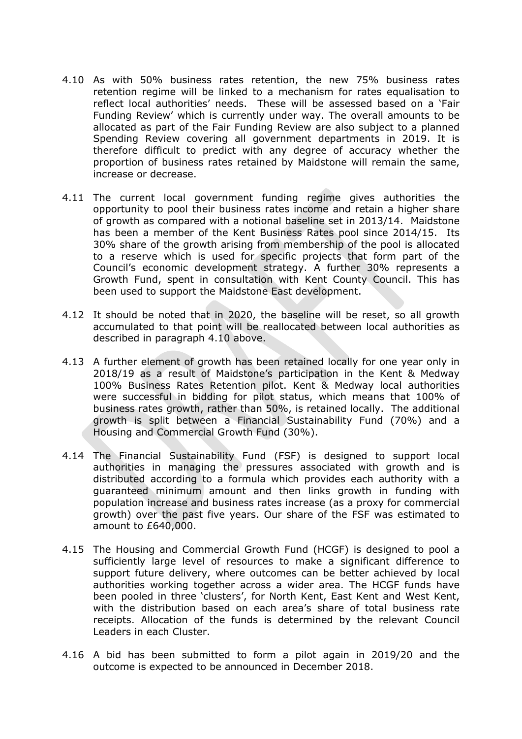- 4.10 As with 50% business rates retention, the new 75% business rates retention regime will be linked to a mechanism for rates equalisation to reflect local authorities' needs. These will be assessed based on a 'Fair Funding Review' which is currently under way. The overall amounts to be allocated as part of the Fair Funding Review are also subject to a planned Spending Review covering all government departments in 2019. It is therefore difficult to predict with any degree of accuracy whether the proportion of business rates retained by Maidstone will remain the same, increase or decrease.
- 4.11 The current local government funding regime gives authorities the opportunity to pool their business rates income and retain a higher share of growth as compared with a notional baseline set in 2013/14. Maidstone has been a member of the Kent Business Rates pool since 2014/15. Its 30% share of the growth arising from membership of the pool is allocated to a reserve which is used for specific projects that form part of the Council's economic development strategy. A further 30% represents a Growth Fund, spent in consultation with Kent County Council. This has been used to support the Maidstone East development.
- 4.12 It should be noted that in 2020, the baseline will be reset, so all growth accumulated to that point will be reallocated between local authorities as described in paragraph 4.10 above.
- 4.13 A further element of growth has been retained locally for one year only in 2018/19 as a result of Maidstone's participation in the Kent & Medway 100% Business Rates Retention pilot. Kent & Medway local authorities were successful in bidding for pilot status, which means that 100% of business rates growth, rather than 50%, is retained locally. The additional growth is split between a Financial Sustainability Fund (70%) and a Housing and Commercial Growth Fund (30%).
- 4.14 The Financial Sustainability Fund (FSF) is designed to support local authorities in managing the pressures associated with growth and is distributed according to a formula which provides each authority with a guaranteed minimum amount and then links growth in funding with population increase and business rates increase (as a proxy for commercial growth) over the past five years. Our share of the FSF was estimated to amount to £640,000.
- 4.15 The Housing and Commercial Growth Fund (HCGF) is designed to pool a sufficiently large level of resources to make a significant difference to support future delivery, where outcomes can be better achieved by local authorities working together across a wider area. The HCGF funds have been pooled in three 'clusters', for North Kent, East Kent and West Kent, with the distribution based on each area's share of total business rate receipts. Allocation of the funds is determined by the relevant Council Leaders in each Cluster.
- 4.16 A bid has been submitted to form a pilot again in 2019/20 and the outcome is expected to be announced in December 2018.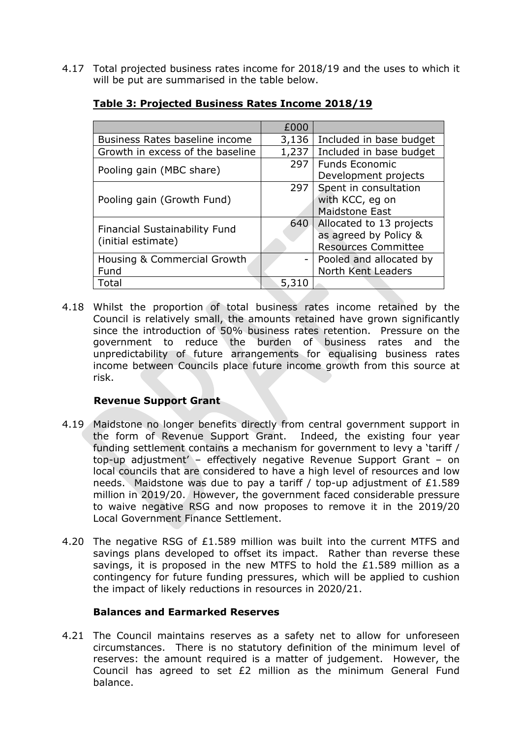4.17 Total projected business rates income for 2018/19 and the uses to which it will be put are summarised in the table below.

|                                      | £000  |                            |
|--------------------------------------|-------|----------------------------|
| Business Rates baseline income       | 3,136 | Included in base budget    |
| Growth in excess of the baseline     | 1,237 | Included in base budget    |
| Pooling gain (MBC share)             | 297   | <b>Funds Economic</b>      |
|                                      |       | Development projects       |
|                                      | 297   | Spent in consultation      |
| Pooling gain (Growth Fund)           |       | with KCC, eg on            |
|                                      |       | Maidstone East             |
| <b>Financial Sustainability Fund</b> | 640   | Allocated to 13 projects   |
| (initial estimate)                   |       | as agreed by Policy &      |
|                                      |       | <b>Resources Committee</b> |
| Housing & Commercial Growth          |       | Pooled and allocated by    |
| Fund                                 |       | North Kent Leaders         |
| Total                                | 5,310 |                            |

# **Table 3: Projected Business Rates Income 2018/19**

4.18 Whilst the proportion of total business rates income retained by the Council is relatively small, the amounts retained have grown significantly since the introduction of 50% business rates retention. Pressure on the government to reduce the burden of business rates and the unpredictability of future arrangements for equalising business rates income between Councils place future income growth from this source at risk.

# **Revenue Support Grant**

- 4.19 Maidstone no longer benefits directly from central government support in the form of Revenue Support Grant. Indeed, the existing four year funding settlement contains a mechanism for government to levy a 'tariff / top-up adjustment' – effectively negative Revenue Support Grant – on local councils that are considered to have a high level of resources and low needs. Maidstone was due to pay a tariff / top-up adjustment of £1.589 million in 2019/20. However, the government faced considerable pressure to waive negative RSG and now proposes to remove it in the 2019/20 Local Government Finance Settlement.
- 4.20 The negative RSG of £1.589 million was built into the current MTFS and savings plans developed to offset its impact. Rather than reverse these savings, it is proposed in the new MTFS to hold the £1.589 million as a contingency for future funding pressures, which will be applied to cushion the impact of likely reductions in resources in 2020/21.

# **Balances and Earmarked Reserves**

4.21 The Council maintains reserves as a safety net to allow for unforeseen circumstances. There is no statutory definition of the minimum level of reserves: the amount required is a matter of judgement. However, the Council has agreed to set £2 million as the minimum General Fund balance.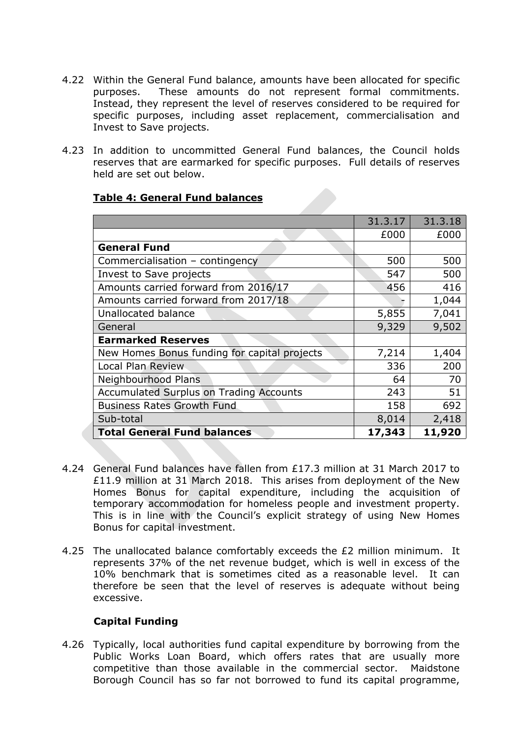- 4.22 Within the General Fund balance, amounts have been allocated for specific purposes. These amounts do not represent formal commitments. Instead, they represent the level of reserves considered to be required for specific purposes, including asset replacement, commercialisation and Invest to Save projects.
- 4.23 In addition to uncommitted General Fund balances, the Council holds reserves that are earmarked for specific purposes. Full details of reserves held are set out below.

|                                                | 31.3.17 | 31.3.18 |
|------------------------------------------------|---------|---------|
|                                                | £000    | £000    |
| <b>General Fund</b>                            |         |         |
| Commercialisation - contingency                | 500     | 500     |
| Invest to Save projects                        | 547     | 500     |
| Amounts carried forward from 2016/17           | 456     | 416     |
| Amounts carried forward from 2017/18           |         | 1,044   |
| Unallocated balance                            | 5,855   | 7,041   |
| General                                        | 9,329   | 9,502   |
| <b>Earmarked Reserves</b>                      |         |         |
| New Homes Bonus funding for capital projects   | 7,214   | 1,404   |
| Local Plan Review                              | 336     | 200     |
| Neighbourhood Plans                            | 64      | 70      |
| <b>Accumulated Surplus on Trading Accounts</b> | 243     | 51      |
| <b>Business Rates Growth Fund</b>              | 158     | 692     |
| Sub-total                                      | 8,014   | 2,418   |
| <b>Total General Fund balances</b>             | 17,343  | 11,920  |

# **Table 4: General Fund balances**

- 4.24 General Fund balances have fallen from £17.3 million at 31 March 2017 to £11.9 million at 31 March 2018. This arises from deployment of the New Homes Bonus for capital expenditure, including the acquisition of temporary accommodation for homeless people and investment property. This is in line with the Council's explicit strategy of using New Homes Bonus for capital investment.
- 4.25 The unallocated balance comfortably exceeds the £2 million minimum. It represents 37% of the net revenue budget, which is well in excess of the 10% benchmark that is sometimes cited as a reasonable level. It can therefore be seen that the level of reserves is adequate without being excessive.

# **Capital Funding**

4.26 Typically, local authorities fund capital expenditure by borrowing from the Public Works Loan Board, which offers rates that are usually more competitive than those available in the commercial sector. Maidstone Borough Council has so far not borrowed to fund its capital programme,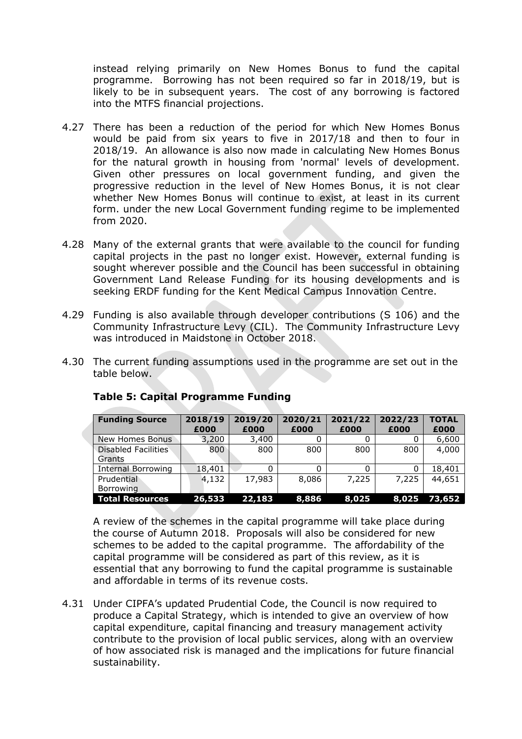instead relying primarily on New Homes Bonus to fund the capital programme. Borrowing has not been required so far in 2018/19, but is likely to be in subsequent years. The cost of any borrowing is factored into the MTFS financial projections.

- 4.27 There has been a reduction of the period for which New Homes Bonus would be paid from six years to five in 2017/18 and then to four in 2018/19. An allowance is also now made in calculating New Homes Bonus for the natural growth in housing from 'normal' levels of development. Given other pressures on local government funding, and given the progressive reduction in the level of New Homes Bonus, it is not clear whether New Homes Bonus will continue to exist, at least in its current form. under the new Local Government funding regime to be implemented from 2020.
- 4.28 Many of the external grants that were available to the council for funding capital projects in the past no longer exist. However, external funding is sought wherever possible and the Council has been successful in obtaining Government Land Release Funding for its housing developments and is seeking ERDF funding for the Kent Medical Campus Innovation Centre.
- 4.29 Funding is also available through developer contributions (S 106) and the Community Infrastructure Levy (CIL). The Community Infrastructure Levy was introduced in Maidstone in October 2018.
- 4.30 The current funding assumptions used in the programme are set out in the table below.

| <b>Funding Source</b>      | 2018/19 | 2019/20 | 2020/21 | 2021/22 | 2022/23 | <b>TOTAL</b> |
|----------------------------|---------|---------|---------|---------|---------|--------------|
|                            | £000    | £000    | £000    | £000    | £000    | £000         |
| New Homes Bonus            | 3,200   | 3,400   |         |         |         | 6,600        |
| <b>Disabled Facilities</b> | 800     | 800     | 800     | 800     | 800     | 4,000        |
| Grants                     |         |         |         |         |         |              |
| <b>Internal Borrowing</b>  | 18,401  |         |         |         |         | 18,401       |
| Prudential                 | 4,132   | 17,983  | 8,086   | 7,225   | 7,225   | 44,651       |
| Borrowing                  |         |         |         |         |         |              |
| <b>Total Resources</b>     | 26,533  | 22,183  | 8,886   | 8,025   | 8,025   | 73,652       |

# **Table 5: Capital Programme Funding**

A review of the schemes in the capital programme will take place during the course of Autumn 2018. Proposals will also be considered for new schemes to be added to the capital programme. The affordability of the capital programme will be considered as part of this review, as it is essential that any borrowing to fund the capital programme is sustainable and affordable in terms of its revenue costs.

4.31 Under CIPFA's updated Prudential Code, the Council is now required to produce a Capital Strategy, which is intended to give an overview of how capital expenditure, capital financing and treasury management activity contribute to the provision of local public services, along with an overview of how associated risk is managed and the implications for future financial sustainability.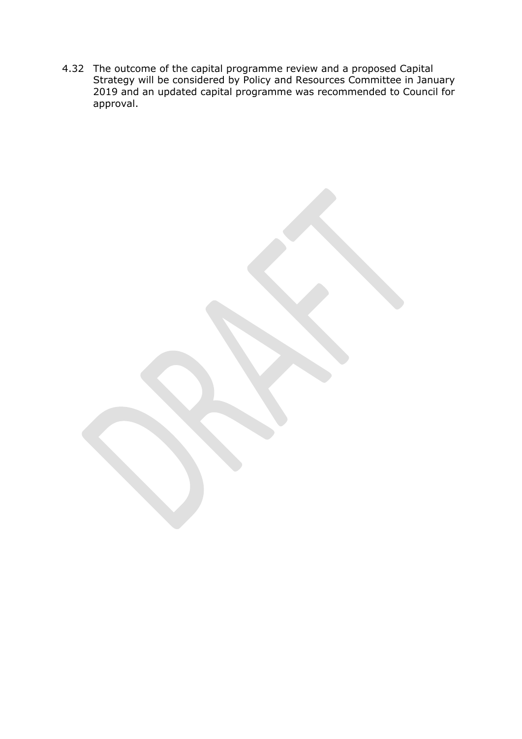4.32 The outcome of the capital programme review and a proposed Capital Strategy will be considered by Policy and Resources Committee in January 2019 and an updated capital programme was recommended to Council for approval.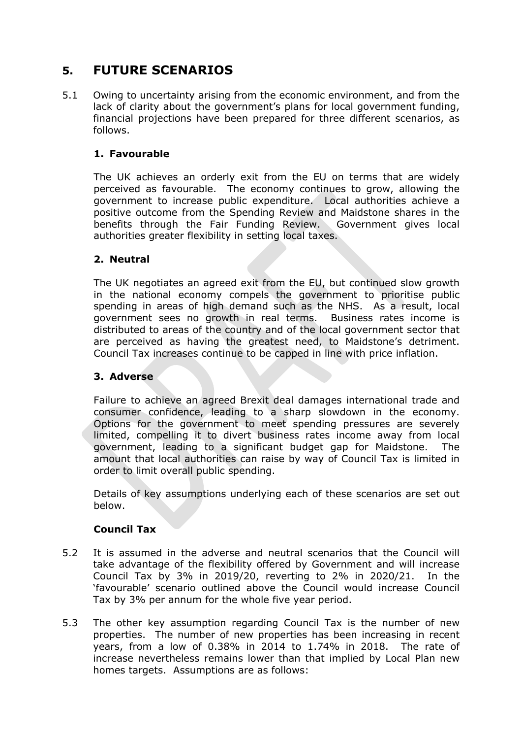# **5. FUTURE SCENARIOS**

5.1 Owing to uncertainty arising from the economic environment, and from the lack of clarity about the government's plans for local government funding, financial projections have been prepared for three different scenarios, as follows.

# **1. Favourable**

The UK achieves an orderly exit from the EU on terms that are widely perceived as favourable. The economy continues to grow, allowing the government to increase public expenditure. Local authorities achieve a positive outcome from the Spending Review and Maidstone shares in the benefits through the Fair Funding Review. Government gives local authorities greater flexibility in setting local taxes.

# **2. Neutral**

The UK negotiates an agreed exit from the EU, but continued slow growth in the national economy compels the government to prioritise public spending in areas of high demand such as the NHS. As a result, local government sees no growth in real terms. Business rates income is distributed to areas of the country and of the local government sector that are perceived as having the greatest need, to Maidstone's detriment. Council Tax increases continue to be capped in line with price inflation.

# **3. Adverse**

Failure to achieve an agreed Brexit deal damages international trade and consumer confidence, leading to a sharp slowdown in the economy. Options for the government to meet spending pressures are severely limited, compelling it to divert business rates income away from local government, leading to a significant budget gap for Maidstone. The amount that local authorities can raise by way of Council Tax is limited in order to limit overall public spending.

Details of key assumptions underlying each of these scenarios are set out below.

# **Council Tax**

- 5.2 It is assumed in the adverse and neutral scenarios that the Council will take advantage of the flexibility offered by Government and will increase Council Tax by 3% in 2019/20, reverting to 2% in 2020/21. In the 'favourable' scenario outlined above the Council would increase Council Tax by 3% per annum for the whole five year period.
- 5.3 The other key assumption regarding Council Tax is the number of new properties. The number of new properties has been increasing in recent years, from a low of 0.38% in 2014 to 1.74% in 2018. The rate of increase nevertheless remains lower than that implied by Local Plan new homes targets. Assumptions are as follows: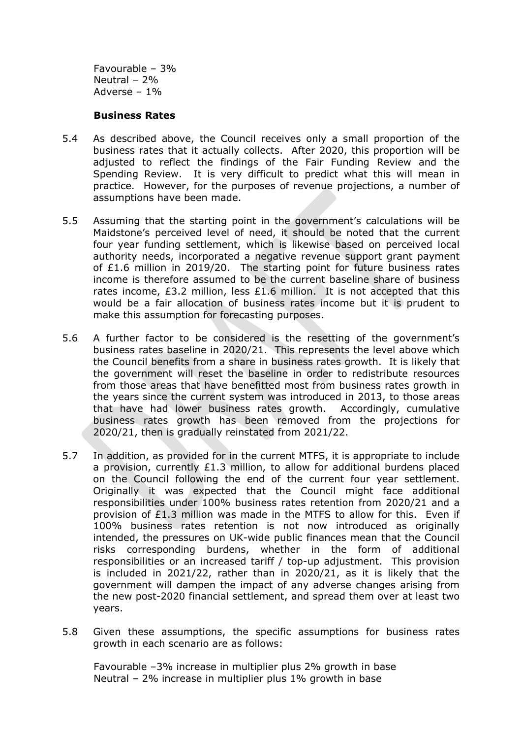Favourable – 3% Neutral – 2% Adverse – 1%

#### **Business Rates**

- 5.4 As described above, the Council receives only a small proportion of the business rates that it actually collects. After 2020, this proportion will be adjusted to reflect the findings of the Fair Funding Review and the Spending Review. It is very difficult to predict what this will mean in practice. However, for the purposes of revenue projections, a number of assumptions have been made.
- 5.5 Assuming that the starting point in the government's calculations will be Maidstone's perceived level of need, it should be noted that the current four year funding settlement, which is likewise based on perceived local authority needs, incorporated a negative revenue support grant payment of £1.6 million in 2019/20. The starting point for future business rates income is therefore assumed to be the current baseline share of business rates income,  $E3.2$  million, less  $E1.6$  million. It is not accepted that this would be a fair allocation of business rates income but it is prudent to make this assumption for forecasting purposes.
- 5.6 A further factor to be considered is the resetting of the government's business rates baseline in 2020/21. This represents the level above which the Council benefits from a share in business rates growth. It is likely that the government will reset the baseline in order to redistribute resources from those areas that have benefitted most from business rates growth in the years since the current system was introduced in 2013, to those areas that have had lower business rates growth. Accordingly, cumulative business rates growth has been removed from the projections for 2020/21, then is gradually reinstated from 2021/22.
- 5.7 In addition, as provided for in the current MTFS, it is appropriate to include a provision, currently £1.3 million, to allow for additional burdens placed on the Council following the end of the current four year settlement. Originally it was expected that the Council might face additional responsibilities under 100% business rates retention from 2020/21 and a provision of  $E1.3$  million was made in the MTFS to allow for this. Even if 100% business rates retention is not now introduced as originally intended, the pressures on UK-wide public finances mean that the Council risks corresponding burdens, whether in the form of additional responsibilities or an increased tariff / top-up adjustment. This provision is included in 2021/22, rather than in 2020/21, as it is likely that the government will dampen the impact of any adverse changes arising from the new post-2020 financial settlement, and spread them over at least two years.
- 5.8 Given these assumptions, the specific assumptions for business rates growth in each scenario are as follows:

Favourable –3% increase in multiplier plus 2% growth in base Neutral – 2% increase in multiplier plus 1% growth in base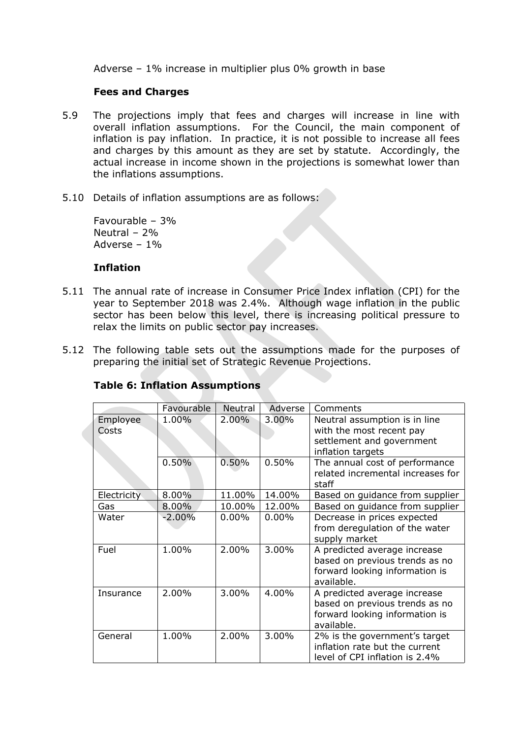Adverse – 1% increase in multiplier plus 0% growth in base

#### **Fees and Charges**

- 5.9 The projections imply that fees and charges will increase in line with overall inflation assumptions. For the Council, the main component of inflation is pay inflation. In practice, it is not possible to increase all fees and charges by this amount as they are set by statute. Accordingly, the actual increase in income shown in the projections is somewhat lower than the inflations assumptions.
- 5.10 Details of inflation assumptions are as follows:

Favourable – 3% Neutral – 2% Adverse – 1%

#### **Inflation**

- 5.11 The annual rate of increase in Consumer Price Index inflation (CPI) for the year to September 2018 was 2.4%. Although wage inflation in the public sector has been below this level, there is increasing political pressure to relax the limits on public sector pay increases.
- 5.12 The following table sets out the assumptions made for the purposes of preparing the initial set of Strategic Revenue Projections.

|                   | Favourable | Neutral  | Adverse  | Comments                                                                                                       |
|-------------------|------------|----------|----------|----------------------------------------------------------------------------------------------------------------|
| Employee<br>Costs | 1.00%      | 2.00%    | 3.00%    | Neutral assumption is in line<br>with the most recent pay<br>settlement and government                         |
|                   |            |          |          | inflation targets                                                                                              |
|                   | 0.50%      | 0.50%    | 0.50%    | The annual cost of performance<br>related incremental increases for<br>staff                                   |
| Electricity       | 8.00%      | 11.00%   | 14.00%   | Based on guidance from supplier                                                                                |
| Gas               | 8.00%      | 10.00%   | 12.00%   | Based on guidance from supplier                                                                                |
| Water             | $-2.00\%$  | $0.00\%$ | $0.00\%$ | Decrease in prices expected<br>from deregulation of the water<br>supply market                                 |
| Fuel              | 1.00%      | 2.00%    | 3.00%    | A predicted average increase<br>based on previous trends as no<br>forward looking information is<br>available. |
| Insurance         | 2.00%      | 3.00%    | 4.00%    | A predicted average increase<br>based on previous trends as no<br>forward looking information is<br>available. |
| General           | 1.00%      | 2.00%    | 3.00%    | 2% is the government's target<br>inflation rate but the current<br>level of CPI inflation is 2.4%              |

# **Table 6: Inflation Assumptions**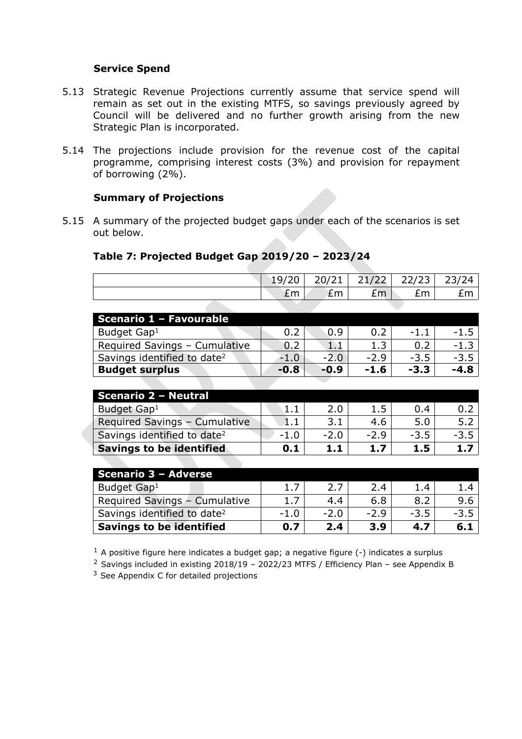# **Service Spend**

- 5.13 Strategic Revenue Projections currently assume that service spend will remain as set out in the existing MTFS, so savings previously agreed by Council will be delivered and no further growth arising from the new Strategic Plan is incorporated.
- 5.14 The projections include provision for the revenue cost of the capital programme, comprising interest costs (3%) and provision for repayment of borrowing (2%).

#### **Summary of Projections**

5.15 A summary of the projected budget gaps under each of the scenarios is set out below.

# **Table 7: Projected Budget Gap 2019/20 – 2023/24**

|    |    |    | $19/20$   20/21   21/22   22/23   23/24 |    |
|----|----|----|-----------------------------------------|----|
| £m | £m | £m | £m                                      | £m |
|    |    |    |                                         |    |

| Scenario 1 - Favourable                 |        |                |               |               |               |
|-----------------------------------------|--------|----------------|---------------|---------------|---------------|
| Budget Gap <sup>1</sup>                 | 0.2    | 0.9            | 0.2           | $-1.1$        | $-1.5$        |
| Required Savings - Cumulative           | 0.2    | 1.1            | 1.3           | 0.2           | $-1.3$        |
| Savings identified to date <sup>2</sup> | $-1.0$ | $-2.0$         | $-2.9$        | $-3.5$        | $-3.5$        |
| <b>Budget surplus</b>                   | $-0.8$ | $-0.9$         | $-1.6$        | $-3.3$        | $-4.8$        |
|                                         |        |                |               |               |               |
| <b>Scenario 2 - Neutral</b>             |        |                |               |               |               |
| Budget Gap <sup>1</sup>                 | 1.1    | 2.0            | 1.5           | 0.4           | 0.2           |
| Required Savings - Cumulative           | 1.1    | 3.1            | 4.6           | 5.0           | 5.2           |
| Savings identified to date <sup>2</sup> | $-1.0$ | $-2.0$         | $-2.9$        | $-3.5$        | $-3.5$        |
| <b>Savings to be identified</b>         | 0.1    | 1.1            | 1.7           | 1.5           | 1.7           |
|                                         |        |                |               |               |               |
| <b>Scenario 3 - Adverse</b>             |        |                |               |               |               |
| Budget Gap <sup>1</sup>                 | 1.7    | 2.7            | 2.4           | 1.4           | 1.4           |
|                                         | . –    | $\overline{A}$ | $\sim$ $\sim$ | $\sim$ $\sim$ | $\sim$ $\sim$ |

| Budget Gap <sup>1</sup>                 |      |        | 2.4    | 1.4    |                  |
|-----------------------------------------|------|--------|--------|--------|------------------|
| Required Savings - Cumulative           |      | 4.4    | 6.8    |        | 9.6 <sub>1</sub> |
| Savings identified to date <sup>2</sup> | -1.0 | $-2.0$ | $-2.9$ | $-3.5$ |                  |
| <b>Savings to be identified</b>         | 0.7  | 2.4    | 3.9    |        | 6.1              |

 $1$  A positive figure here indicates a budget gap; a negative figure (-) indicates a surplus

<sup>2</sup> Savings included in existing 2018/19 – 2022/23 MTFS / Efficiency Plan – see Appendix B

<sup>3</sup> See Appendix C for detailed projections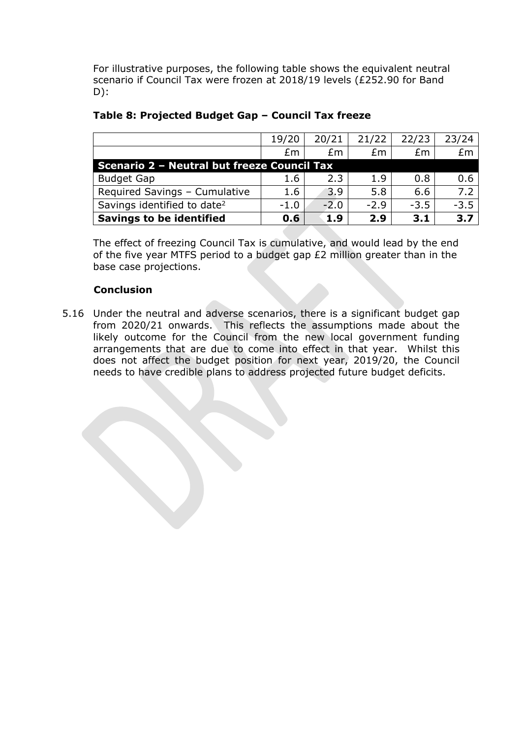For illustrative purposes, the following table shows the equivalent neutral scenario if Council Tax were frozen at 2018/19 levels (£252.90 for Band D):

|                                             | 19/20  | 20/21  | 21/22  | 22/23  | 23/24            |  |  |
|---------------------------------------------|--------|--------|--------|--------|------------------|--|--|
|                                             | fm     | £m.    | £m     | £m     | Em               |  |  |
| Scenario 2 - Neutral but freeze Council Tax |        |        |        |        |                  |  |  |
| <b>Budget Gap</b>                           | 1.6    | 2.3    | 1.9    | 0.8    | 0.6              |  |  |
| Required Savings - Cumulative               | 1.6    | 3.9    | 5.8    | 6.6    | 7.2              |  |  |
| Savings identified to date <sup>2</sup>     | $-1.0$ | $-2.0$ | $-2.9$ | $-3.5$ | $-3.5$           |  |  |
| <b>Savings to be identified</b>             | 0.6    | 1.9    | 2.9    | 3.1    | 3.7 <sup>1</sup> |  |  |

# **Table 8: Projected Budget Gap – Council Tax freeze**

The effect of freezing Council Tax is cumulative, and would lead by the end of the five year MTFS period to a budget gap £2 million greater than in the base case projections.

# **Conclusion**

5.16 Under the neutral and adverse scenarios, there is a significant budget gap from 2020/21 onwards. This reflects the assumptions made about the likely outcome for the Council from the new local government funding arrangements that are due to come into effect in that year. Whilst this does not affect the budget position for next year, 2019/20, the Council needs to have credible plans to address projected future budget deficits.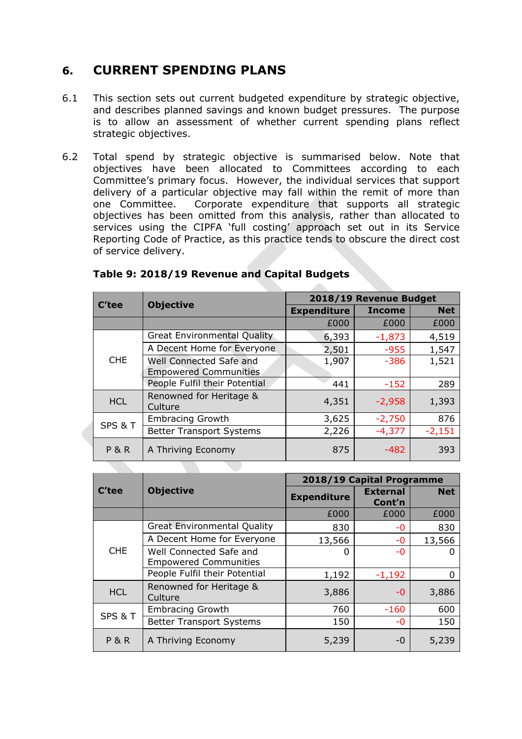# **6. CURRENT SPENDING PLANS**

- 6.1 This section sets out current budgeted expenditure by strategic objective, and describes planned savings and known budget pressures. The purpose is to allow an assessment of whether current spending plans reflect strategic objectives.
- 6.2 Total spend by strategic objective is summarised below. Note that objectives have been allocated to Committees according to each Committee's primary focus. However, the individual services that support delivery of a particular objective may fall within the remit of more than one Committee. Corporate expenditure that supports all strategic objectives has been omitted from this analysis, rather than allocated to services using the CIPFA 'full costing' approach set out in its Service Reporting Code of Practice, as this practice tends to obscure the direct cost of service delivery.

|                | <b>Objective</b><br>C'tee                               |                    | 2018/19 Revenue Budget |            |
|----------------|---------------------------------------------------------|--------------------|------------------------|------------|
|                |                                                         | <b>Expenditure</b> | <b>Income</b>          | <b>Net</b> |
|                |                                                         | £000               | £000                   | £000       |
|                | <b>Great Environmental Quality</b>                      | 6,393              | $-1,873$               | 4,519      |
|                | A Decent Home for Everyone                              | 2,501              | $-955$                 | 1,547      |
| <b>CHE</b>     | Well Connected Safe and<br><b>Empowered Communities</b> | 1,907              | $-386$                 | 1,521      |
|                | People Fulfil their Potential                           | 441                | $-152$                 | 289        |
| <b>HCL</b>     | Renowned for Heritage &<br>Culture                      | 4,351              | $-2,958$               | 1,393      |
| SPS & T        | <b>Embracing Growth</b>                                 | 3,625              | $-2,750$               | 876        |
|                | <b>Better Transport Systems</b>                         | 2,226              | $-4,377$               | $-2,151$   |
| <b>P&amp;R</b> | A Thriving Economy                                      | 875                | $-482$                 | 393        |

# **Table 9: 2018/19 Revenue and Capital Budgets**

|                |                                                         |                    | 2018/19 Capital Programme |            |
|----------------|---------------------------------------------------------|--------------------|---------------------------|------------|
| C'tee          | <b>Objective</b>                                        | <b>Expenditure</b> | <b>External</b><br>Cont'n | <b>Net</b> |
|                |                                                         | £000               | £000                      | £000       |
|                | <b>Great Environmental Quality</b>                      | 830                | -0                        | 830        |
|                | A Decent Home for Everyone                              | 13,566             | -0                        | 13,566     |
| <b>CHE</b>     | Well Connected Safe and<br><b>Empowered Communities</b> | O                  | -0                        | 0          |
|                | People Fulfil their Potential                           | 1,192              | $-1,192$                  | 0          |
| <b>HCL</b>     | Renowned for Heritage &<br>Culture                      | 3,886              | $-0$                      | 3,886      |
| SPS & T        | <b>Embracing Growth</b>                                 | 760                | $-160$                    | 600        |
|                | <b>Better Transport Systems</b>                         | 150                | -0                        | 150        |
| <b>P&amp;R</b> | A Thriving Economy                                      | 5,239              | -0                        | 5,239      |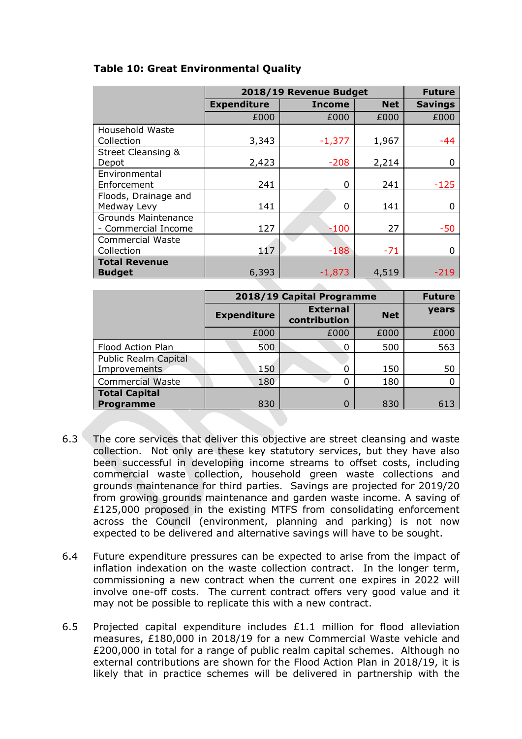|                               | 2018/19 Revenue Budget |               |            | <b>Future</b>  |
|-------------------------------|------------------------|---------------|------------|----------------|
|                               | <b>Expenditure</b>     | <b>Income</b> | <b>Net</b> | <b>Savings</b> |
|                               | £000                   | £000          | £000       | £000           |
| <b>Household Waste</b>        |                        |               |            |                |
| Collection                    | 3,343                  | $-1,377$      | 1,967      | -44            |
| <b>Street Cleansing &amp;</b> |                        |               |            |                |
| Depot                         | 2,423                  | $-208$        | 2,214      | 0              |
| Environmental                 |                        |               |            |                |
| Enforcement                   | 241                    | 0             | 241        | $-125$         |
| Floods, Drainage and          |                        |               |            |                |
| Medway Levy                   | 141                    | 0             | 141        | 0              |
| <b>Grounds Maintenance</b>    |                        |               |            |                |
| - Commercial Income           | 127                    | $-100$        | 27         | $-50$          |
| <b>Commercial Waste</b>       |                        |               |            |                |
| Collection                    | 117                    | $-188$        | -71        | 0              |
| <b>Total Revenue</b>          |                        |               |            |                |
| <b>Budget</b>                 | 6,393                  | $-1,873$      | 4,519      | -219           |
|                               |                        |               |            |                |

# **Table 10: Great Environmental Quality**

|                         | 2018/19 Capital Programme |                                 |            | <b>Future</b> |
|-------------------------|---------------------------|---------------------------------|------------|---------------|
|                         | <b>Expenditure</b>        | <b>External</b><br>contribution | <b>Net</b> | years         |
|                         | £000                      | £000                            | £000       | £000          |
| Flood Action Plan       | 500                       | 0                               | 500        | 563           |
| Public Realm Capital    |                           |                                 |            |               |
| Improvements            | 150                       |                                 | 150        | 50            |
| <b>Commercial Waste</b> | 180                       | ∩                               | 180        |               |
| <b>Total Capital</b>    |                           |                                 |            |               |
| <b>Programme</b>        | 830                       | O                               | 830        | 613           |

 $\mathcal{L}$ 

- 6.3 The core services that deliver this objective are street cleansing and waste collection. Not only are these key statutory services, but they have also been successful in developing income streams to offset costs, including commercial waste collection, household green waste collections and grounds maintenance for third parties. Savings are projected for 2019/20 from growing grounds maintenance and garden waste income. A saving of £125,000 proposed in the existing MTFS from consolidating enforcement across the Council (environment, planning and parking) is not now expected to be delivered and alternative savings will have to be sought.
- 6.4 Future expenditure pressures can be expected to arise from the impact of inflation indexation on the waste collection contract. In the longer term, commissioning a new contract when the current one expires in 2022 will involve one-off costs. The current contract offers very good value and it may not be possible to replicate this with a new contract.
- 6.5 Projected capital expenditure includes £1.1 million for flood alleviation measures, £180,000 in 2018/19 for a new Commercial Waste vehicle and £200,000 in total for a range of public realm capital schemes. Although no external contributions are shown for the Flood Action Plan in 2018/19, it is likely that in practice schemes will be delivered in partnership with the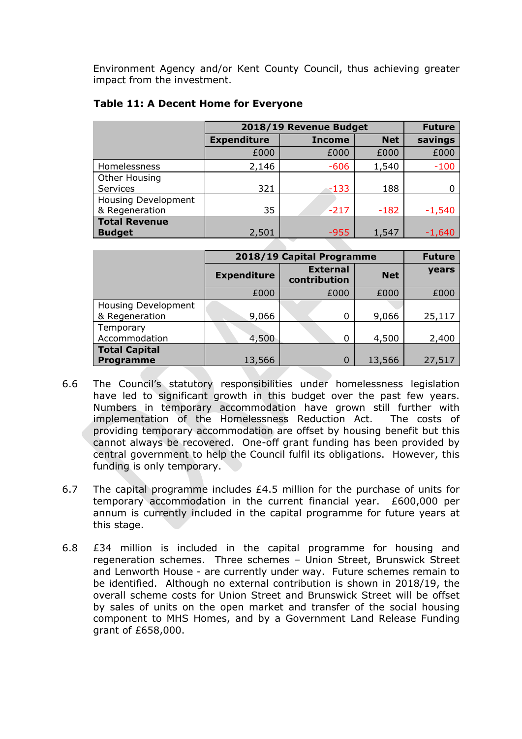Environment Agency and/or Kent County Council, thus achieving greater impact from the investment.

|                            | 2018/19 Revenue Budget |               |            | <b>Future</b> |
|----------------------------|------------------------|---------------|------------|---------------|
|                            | <b>Expenditure</b>     | <b>Income</b> | <b>Net</b> | savings       |
|                            | £000                   | £000          | £000       | £000          |
| Homelessness               | 2,146                  | $-606$        | 1,540      | $-100$        |
| Other Housing              |                        |               |            |               |
| Services                   | 321                    | -133          | 188        |               |
| <b>Housing Development</b> |                        |               |            |               |
| & Regeneration             | 35                     | $-217$        | $-182$     | $-1,540$      |
| <b>Total Revenue</b>       |                        |               |            |               |
| <b>Budget</b>              | 2,501                  | $-955$        | 1,547      | -1,640        |
|                            |                        |               |            |               |

#### **Table 11: A Decent Home for Everyone**

|                            | 2018/19 Capital Programme |                                 |            | <b>Future</b> |
|----------------------------|---------------------------|---------------------------------|------------|---------------|
|                            | <b>Expenditure</b>        | <b>External</b><br>contribution | <b>Net</b> | years         |
|                            | £000                      | £000                            | £000       | £000          |
| <b>Housing Development</b> |                           |                                 |            |               |
| & Regeneration             | 9,066                     | 0                               | 9,066      | 25,117        |
| Temporary                  |                           |                                 |            |               |
| Accommodation              | 4,500                     | 0                               | 4,500      | 2,400         |
| <b>Total Capital</b>       |                           |                                 |            |               |
| Programme                  | 13,566                    | 0                               | 13,566     | 27,517        |

- 6.6 The Council's statutory responsibilities under homelessness legislation have led to significant growth in this budget over the past few years. Numbers in temporary accommodation have grown still further with implementation of the Homelessness Reduction Act. The costs of providing temporary accommodation are offset by housing benefit but this cannot always be recovered. One-off grant funding has been provided by central government to help the Council fulfil its obligations. However, this funding is only temporary.
- 6.7 The capital programme includes £4.5 million for the purchase of units for temporary accommodation in the current financial year. £600,000 per annum is currently included in the capital programme for future years at this stage.
- 6.8 £34 million is included in the capital programme for housing and regeneration schemes. Three schemes – Union Street, Brunswick Street and Lenworth House - are currently under way. Future schemes remain to be identified. Although no external contribution is shown in 2018/19, the overall scheme costs for Union Street and Brunswick Street will be offset by sales of units on the open market and transfer of the social housing component to MHS Homes, and by a Government Land Release Funding grant of £658,000.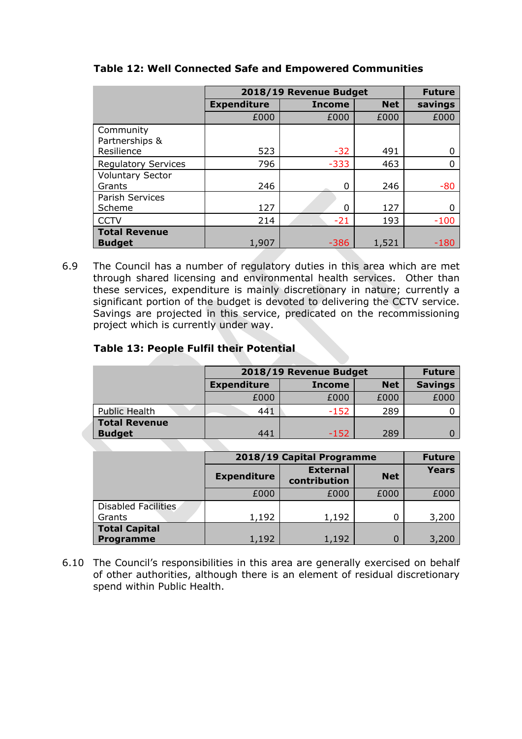|                                       | 2018/19 Revenue Budget |               |            | <b>Future</b> |
|---------------------------------------|------------------------|---------------|------------|---------------|
|                                       | <b>Expenditure</b>     | <b>Income</b> | <b>Net</b> | savings       |
|                                       | £000                   | £000          | £000       | £000          |
| Community<br>Partnerships &           |                        |               |            |               |
| Resilience                            | 523                    | $-32$         | 491        | 0             |
| <b>Regulatory Services</b>            | 796                    | $-333$        | 463        | $\Omega$      |
| <b>Voluntary Sector</b><br>Grants     | 246                    | 0             | 246        | $-80$         |
| Parish Services<br>Scheme             | 127                    | 0             | 127        | 0             |
| <b>CCTV</b>                           | 214                    | $-21$         | 193        | $-100$        |
| <b>Total Revenue</b><br><b>Budget</b> | 1,907                  | $-386$        | 1,521      | -180          |

# **Table 12: Well Connected Safe and Empowered Communities**

6.9 The Council has a number of regulatory duties in this area which are met through shared licensing and environmental health services. Other than these services, expenditure is mainly discretionary in nature; currently a significant portion of the budget is devoted to delivering the CCTV service. Savings are projected in this service, predicated on the recommissioning project which is currently under way.

# **Table 13: People Fulfil their Potential**

|                      |                    | 2018/19 Revenue Budget      |      |      |
|----------------------|--------------------|-----------------------------|------|------|
|                      | <b>Expenditure</b> | <b>Net</b><br><b>Income</b> |      |      |
|                      | £000               | £000                        | £000 | £000 |
| <b>Public Health</b> | 441                | $-152$                      | 289  |      |
| <b>Total Revenue</b> |                    |                             |      |      |
| <b>Budget</b>        | 441<br>$-152$      |                             | 289  |      |

|                                          | 2018/19 Capital Programme |                                 |            | <b>Future</b> |
|------------------------------------------|---------------------------|---------------------------------|------------|---------------|
|                                          | <b>Expenditure</b>        | <b>External</b><br>contribution | <b>Net</b> | <b>Years</b>  |
|                                          | £000                      | £000                            | £000       | £000          |
| Disabled Facilities<br>Grants            | 1,192                     | 1,192                           |            | 3,200         |
| <b>Total Capital</b><br><b>Programme</b> | 1,192                     | 1,192                           |            | 3,200         |

6.10 The Council's responsibilities in this area are generally exercised on behalf of other authorities, although there is an element of residual discretionary spend within Public Health.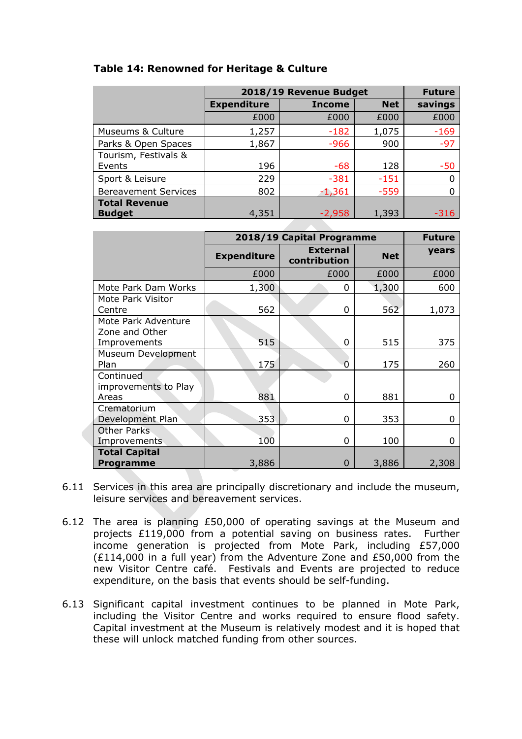|                             |                    | 2018/19 Revenue Budget |            |          |
|-----------------------------|--------------------|------------------------|------------|----------|
|                             | <b>Expenditure</b> | <b>Income</b>          | <b>Net</b> | savings  |
|                             | £000               | £000                   | £000       | £000     |
| Museums & Culture           | 1,257              | $-182$                 | 1,075      | $-169$   |
| Parks & Open Spaces         | 1,867              | -966                   | 900        | $-97$    |
| Tourism, Festivals &        |                    |                        |            |          |
| Events                      | 196                | $-68$                  | 128        | $-50$    |
| Sport & Leisure             | 229                | $-381$                 | $-151$     |          |
| <b>Bereavement Services</b> | 802                | $-1,361$               | $-559$     | $\Omega$ |
| <b>Total Revenue</b>        |                    |                        |            |          |
| <b>Budget</b>               | 4,351              | $-2,958$               | 1,393      | -316     |

# **Table 14: Renowned for Heritage & Culture**

|                                          |                    | 2018/19 Capital Programme       |            |          |
|------------------------------------------|--------------------|---------------------------------|------------|----------|
|                                          | <b>Expenditure</b> | <b>External</b><br>contribution | <b>Net</b> | years    |
|                                          | £000               | £000                            | £000       | £000     |
| Mote Park Dam Works                      | 1,300              | 0                               | 1,300      | 600      |
| Mote Park Visitor<br>Centre              | 562                | 0                               | 562        | 1,073    |
| Mote Park Adventure<br>Zone and Other    |                    |                                 |            |          |
| Improvements                             | 515                | 0                               | 515        | 375      |
| Museum Development<br>Plan               | 175                | $\Omega$                        | 175        | 260      |
| Continued<br>improvements to Play        |                    |                                 |            |          |
| Areas                                    | 881                | 0                               | 881        | $\Omega$ |
| Crematorium<br>Development Plan          | 353                | 0                               | 353        | $\Omega$ |
| Other Parks                              |                    |                                 |            |          |
| Improvements                             | 100                | 0                               | 100        | 0        |
| <b>Total Capital</b><br><b>Programme</b> | 3,886              | 0                               | 3,886      | 2,308    |

- 6.11 Services in this area are principally discretionary and include the museum, leisure services and bereavement services.
- 6.12 The area is planning £50,000 of operating savings at the Museum and projects £119,000 from a potential saving on business rates. Further income generation is projected from Mote Park, including £57,000 (£114,000 in a full year) from the Adventure Zone and £50,000 from the new Visitor Centre café. Festivals and Events are projected to reduce expenditure, on the basis that events should be self-funding.
- 6.13 Significant capital investment continues to be planned in Mote Park, including the Visitor Centre and works required to ensure flood safety. Capital investment at the Museum is relatively modest and it is hoped that these will unlock matched funding from other sources.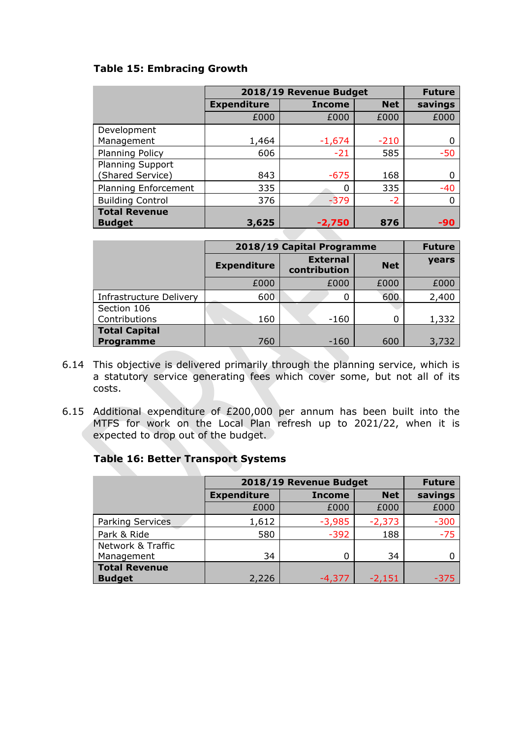# **Table 15: Embracing Growth**

|                             | 2018/19 Revenue Budget |               |            | <b>Future</b> |
|-----------------------------|------------------------|---------------|------------|---------------|
|                             | <b>Expenditure</b>     | <b>Income</b> | <b>Net</b> | savings       |
|                             | £000                   | £000          | £000       | £000          |
| Development                 |                        |               |            |               |
| Management                  | 1,464                  | $-1,674$      | $-210$     |               |
| Planning Policy             | 606                    | $-21$         | 585        | $-50$         |
| Planning Support            |                        |               |            |               |
| (Shared Service)            | 843                    | $-675$        | 168        |               |
| <b>Planning Enforcement</b> | 335                    | 0             | 335        | $-40$         |
| <b>Building Control</b>     | 376                    | $-379$        | $-2$       |               |
| <b>Total Revenue</b>        |                        |               |            |               |
| <b>Budget</b>               | 3,625                  | $-2.750$      | 876        | -90           |

|                                | 2018/19 Capital Programme |                                 |            | <b>Future</b> |
|--------------------------------|---------------------------|---------------------------------|------------|---------------|
|                                | <b>Expenditure</b>        | <b>External</b><br>contribution | <b>Net</b> | years         |
|                                | £000                      | £000                            | £000       | £000          |
| <b>Infrastructure Delivery</b> | 600                       |                                 | 600        | 2,400         |
| Section 106                    |                           |                                 |            |               |
| Contributions                  | 160                       | $-160$                          | 0          | 1,332         |
| <b>Total Capital</b>           |                           |                                 |            |               |
| <b>Programme</b>               | 760                       | $-160$                          | 600        | 3,732         |

- 6.14 This objective is delivered primarily through the planning service, which is a statutory service generating fees which cover some, but not all of its costs.
- 6.15 Additional expenditure of £200,000 per annum has been built into the MTFS for work on the Local Plan refresh up to 2021/22, when it is expected to drop out of the budget.

# **Table 16: Better Transport Systems**

|                         | 2018/19 Revenue Budget |               |            | <b>Future</b> |
|-------------------------|------------------------|---------------|------------|---------------|
|                         | <b>Expenditure</b>     | <b>Income</b> | <b>Net</b> | savings       |
|                         | £000                   | £000          | £000       | £000          |
| <b>Parking Services</b> | 1,612                  | $-3,985$      | $-2,373$   | $-300$        |
| Park & Ride             | 580                    | $-392$        | 188        | $-75$         |
| Network & Traffic       |                        |               |            |               |
| Management              | 34                     | ი             | 34         |               |
| <b>Total Revenue</b>    |                        |               |            |               |
| <b>Budget</b>           | 2,226                  | -4,377        | $-2,151$   | $-375$        |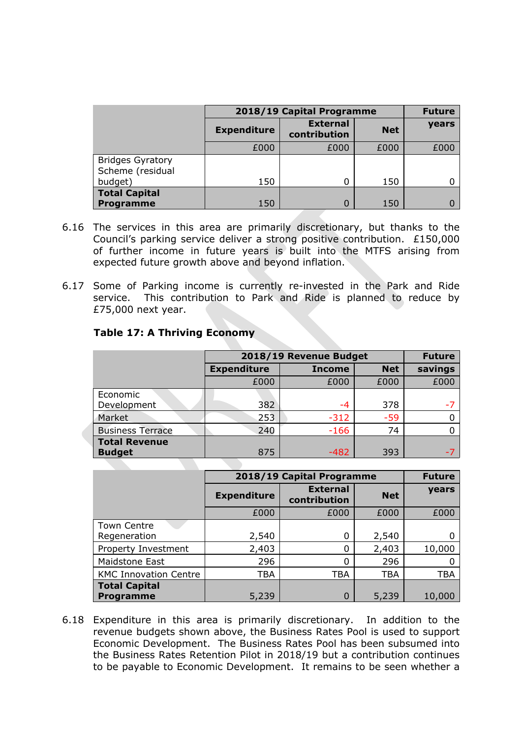|                                             | 2018/19 Capital Programme |                                 |            | <b>Future</b> |
|---------------------------------------------|---------------------------|---------------------------------|------------|---------------|
|                                             | <b>Expenditure</b>        | <b>External</b><br>contribution | <b>Net</b> | years         |
|                                             | £000                      | £000                            | £000       | £000          |
| <b>Bridges Gyratory</b><br>Scheme (residual |                           |                                 |            |               |
| budget)                                     | 150                       |                                 | 150        |               |
| <b>Total Capital</b><br><b>Programme</b>    | 150                       |                                 | 150        |               |

- 6.16 The services in this area are primarily discretionary, but thanks to the Council's parking service deliver a strong positive contribution. £150,000 of further income in future years is built into the MTFS arising from expected future growth above and beyond inflation.
- 6.17 Some of Parking income is currently re-invested in the Park and Ride service. This contribution to Park and Ride is planned to reduce by £75,000 next year.

|                         | 2018/19 Revenue Budget |               |            | <b>Future</b> |
|-------------------------|------------------------|---------------|------------|---------------|
|                         | <b>Expenditure</b>     | <b>Income</b> | <b>Net</b> | savings       |
|                         | £000                   | £000          | £000       | £000          |
| Economic<br>Development | 382                    | -4            | 378        | -7            |
| Market                  | 253                    | $-312$        | $-59$      |               |
| <b>Business Terrace</b> | 240                    | $-166$        | 74         |               |
| <b>Total Revenue</b>    |                        |               |            |               |
| <b>Budget</b>           | 875                    | -482          | 393        |               |

# **Table 17: A Thriving Economy**

|                              | 2018/19 Capital Programme |                                 |            | <b>Future</b> |
|------------------------------|---------------------------|---------------------------------|------------|---------------|
|                              | <b>Expenditure</b>        | <b>External</b><br>contribution | <b>Net</b> | years         |
|                              | £000                      | £000                            | £000       | £000          |
| <b>Town Centre</b>           |                           |                                 |            |               |
| Regeneration                 | 2,540                     |                                 | 2,540      |               |
| Property Investment          | 2,403                     |                                 | 2,403      | 10,000        |
| Maidstone East               | 296                       |                                 | 296        | 0             |
| <b>KMC Innovation Centre</b> | TBA                       | TBA                             | <b>TBA</b> | <b>TBA</b>    |
| <b>Total Capital</b>         |                           |                                 |            |               |
| <b>Programme</b>             | 5,239                     |                                 | 5,239      | 10,000        |

6.18 Expenditure in this area is primarily discretionary. In addition to the revenue budgets shown above, the Business Rates Pool is used to support Economic Development. The Business Rates Pool has been subsumed into the Business Rates Retention Pilot in 2018/19 but a contribution continues to be payable to Economic Development. It remains to be seen whether a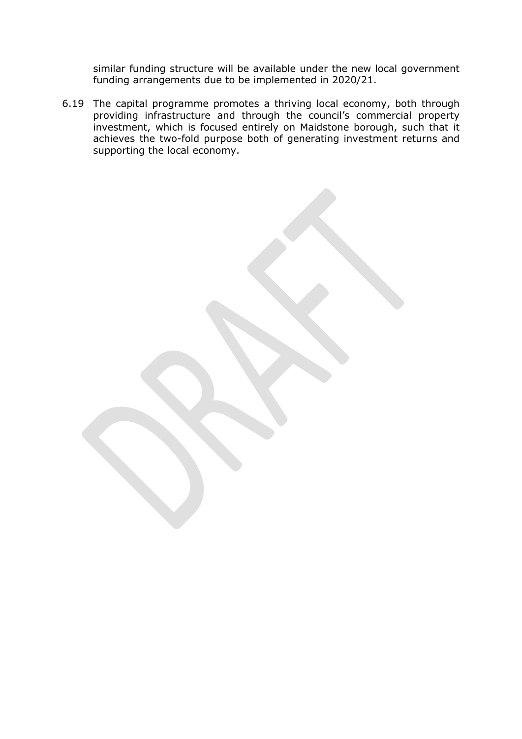similar funding structure will be available under the new local government funding arrangements due to be implemented in 2020/21.

6.19 The capital programme promotes a thriving local economy, both through providing infrastructure and through the council's commercial property investment, which is focused entirely on Maidstone borough, such that it achieves the two-fold purpose both of generating investment returns and supporting the local economy.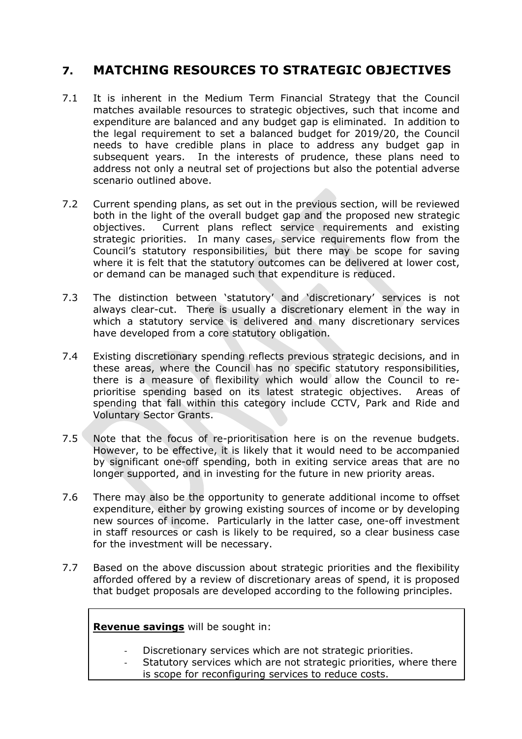# **7. MATCHING RESOURCES TO STRATEGIC OBJECTIVES**

- 7.1 It is inherent in the Medium Term Financial Strategy that the Council matches available resources to strategic objectives, such that income and expenditure are balanced and any budget gap is eliminated. In addition to the legal requirement to set a balanced budget for 2019/20, the Council needs to have credible plans in place to address any budget gap in subsequent years. In the interests of prudence, these plans need to address not only a neutral set of projections but also the potential adverse scenario outlined above.
- 7.2 Current spending plans, as set out in the previous section, will be reviewed both in the light of the overall budget gap and the proposed new strategic objectives. Current plans reflect service requirements and existing strategic priorities. In many cases, service requirements flow from the Council's statutory responsibilities, but there may be scope for saving where it is felt that the statutory outcomes can be delivered at lower cost, or demand can be managed such that expenditure is reduced.
- 7.3 The distinction between 'statutory' and 'discretionary' services is not always clear-cut. There is usually a discretionary element in the way in which a statutory service is delivered and many discretionary services have developed from a core statutory obligation.
- 7.4 Existing discretionary spending reflects previous strategic decisions, and in these areas, where the Council has no specific statutory responsibilities, there is a measure of flexibility which would allow the Council to reprioritise spending based on its latest strategic objectives. Areas of spending that fall within this category include CCTV, Park and Ride and Voluntary Sector Grants.
- 7.5 Note that the focus of re-prioritisation here is on the revenue budgets. However, to be effective, it is likely that it would need to be accompanied by significant one-off spending, both in exiting service areas that are no longer supported, and in investing for the future in new priority areas.
- 7.6 There may also be the opportunity to generate additional income to offset expenditure, either by growing existing sources of income or by developing new sources of income. Particularly in the latter case, one-off investment in staff resources or cash is likely to be required, so a clear business case for the investment will be necessary.
- 7.7 Based on the above discussion about strategic priorities and the flexibility afforded offered by a review of discretionary areas of spend, it is proposed that budget proposals are developed according to the following principles.

**Revenue savings** will be sought in:

- Discretionary services which are not strategic priorities.
- Statutory services which are not strategic priorities, where there is scope for reconfiguring services to reduce costs.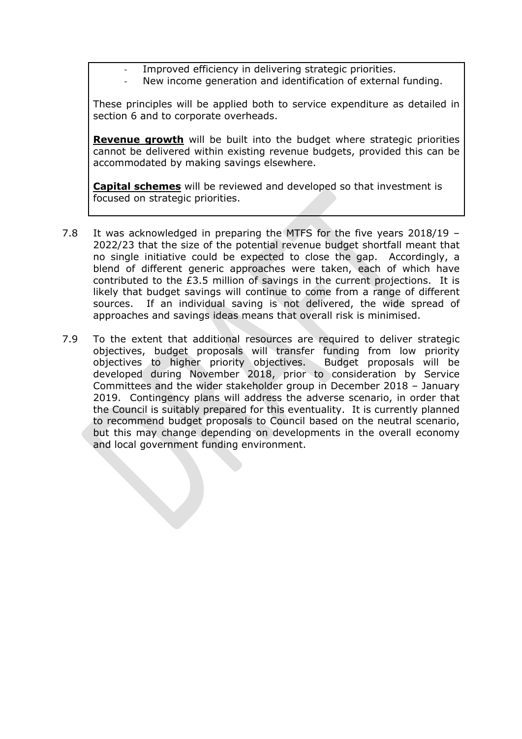- Improved efficiency in delivering strategic priorities.
- New income generation and identification of external funding.

These principles will be applied both to service expenditure as detailed in section 6 and to corporate overheads.

**Revenue growth** will be built into the budget where strategic priorities cannot be delivered within existing revenue budgets, provided this can be accommodated by making savings elsewhere.

**Capital schemes** will be reviewed and developed so that investment is focused on strategic priorities.

- 7.8 It was acknowledged in preparing the MTFS for the five years 2018/19 2022/23 that the size of the potential revenue budget shortfall meant that no single initiative could be expected to close the gap. Accordingly, a blend of different generic approaches were taken, each of which have contributed to the £3.5 million of savings in the current projections. It is likely that budget savings will continue to come from a range of different sources. If an individual saving is not delivered, the wide spread of approaches and savings ideas means that overall risk is minimised.
- 7.9 To the extent that additional resources are required to deliver strategic objectives, budget proposals will transfer funding from low priority objectives to higher priority objectives. Budget proposals will be developed during November 2018, prior to consideration by Service Committees and the wider stakeholder group in December 2018 – January 2019. Contingency plans will address the adverse scenario, in order that the Council is suitably prepared for this eventuality. It is currently planned to recommend budget proposals to Council based on the neutral scenario, but this may change depending on developments in the overall economy and local government funding environment.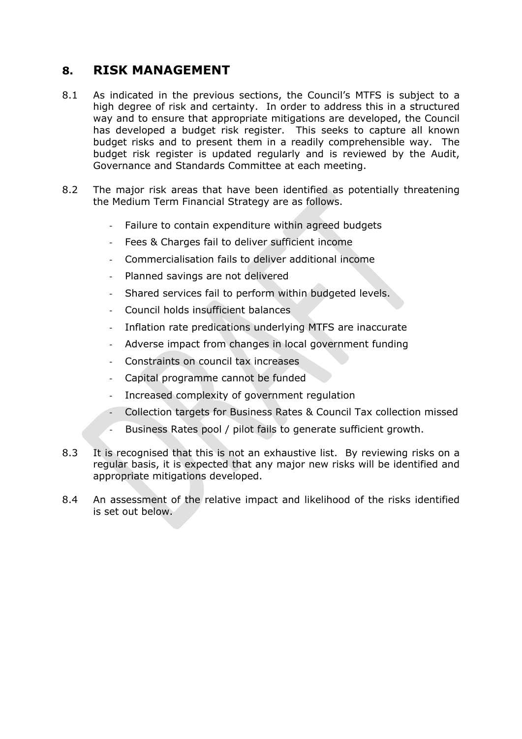# **8. RISK MANAGEMENT**

- 8.1 As indicated in the previous sections, the Council's MTFS is subject to a high degree of risk and certainty. In order to address this in a structured way and to ensure that appropriate mitigations are developed, the Council has developed a budget risk register. This seeks to capture all known budget risks and to present them in a readily comprehensible way. The budget risk register is updated regularly and is reviewed by the Audit, Governance and Standards Committee at each meeting.
- 8.2 The major risk areas that have been identified as potentially threatening the Medium Term Financial Strategy are as follows.
	- Failure to contain expenditure within agreed budgets
	- Fees & Charges fail to deliver sufficient income
	- Commercialisation fails to deliver additional income
	- Planned savings are not delivered
	- Shared services fail to perform within budgeted levels.
	- Council holds insufficient balances
	- Inflation rate predications underlying MTFS are inaccurate
	- Adverse impact from changes in local government funding
	- Constraints on council tax increases
	- Capital programme cannot be funded
	- Increased complexity of government regulation
	- Collection targets for Business Rates & Council Tax collection missed
	- Business Rates pool / pilot fails to generate sufficient growth.
- 8.3 It is recognised that this is not an exhaustive list. By reviewing risks on a regular basis, it is expected that any major new risks will be identified and appropriate mitigations developed.
- 8.4 An assessment of the relative impact and likelihood of the risks identified is set out below.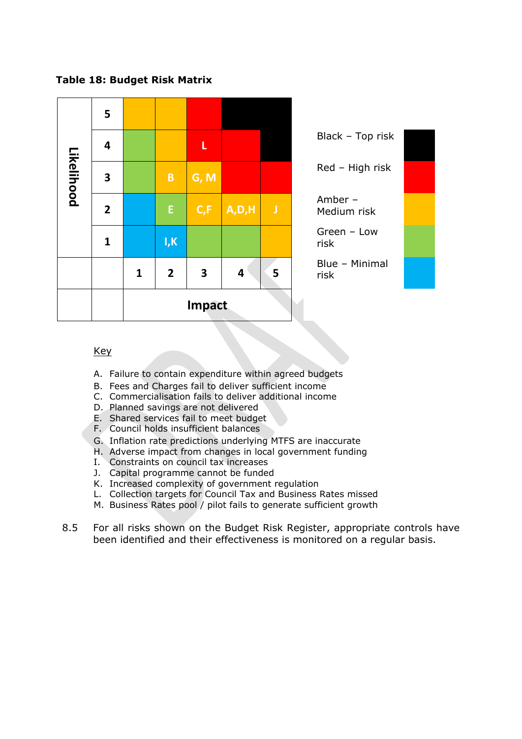**Table 18: Budget Risk Matrix**



Black – Top risk Red – High risk Green – Low Blue – Minimal

# Key

- A. Failure to contain expenditure within agreed budgets
- B. Fees and Charges fail to deliver sufficient income
- C. Commercialisation fails to deliver additional income
- D. Planned savings are not delivered
- E. Shared services fail to meet budget
- F. Council holds insufficient balances
- G. Inflation rate predictions underlying MTFS are inaccurate
- H. Adverse impact from changes in local government funding
- I. Constraints on council tax increases
- J. Capital programme cannot be funded
- K. Increased complexity of government regulation
- L. Collection targets for Council Tax and Business Rates missed
- M. Business Rates pool / pilot fails to generate sufficient growth
- 8.5 For all risks shown on the Budget Risk Register, appropriate controls have been identified and their effectiveness is monitored on a regular basis.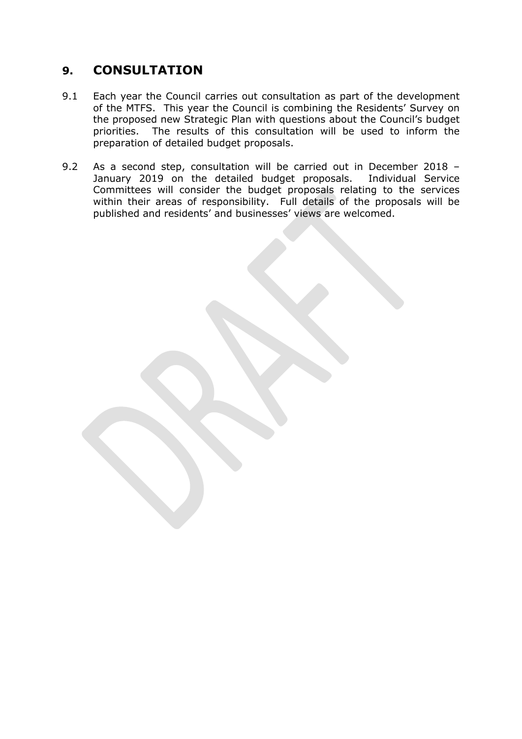# **9. CONSULTATION**

- 9.1 Each year the Council carries out consultation as part of the development of the MTFS. This year the Council is combining the Residents' Survey on the proposed new Strategic Plan with questions about the Council's budget priorities. The results of this consultation will be used to inform the preparation of detailed budget proposals.
- 9.2 As a second step, consultation will be carried out in December 2018 January 2019 on the detailed budget proposals. Individual Service Committees will consider the budget proposals relating to the services within their areas of responsibility. Full details of the proposals will be published and residents' and businesses' views are welcomed.